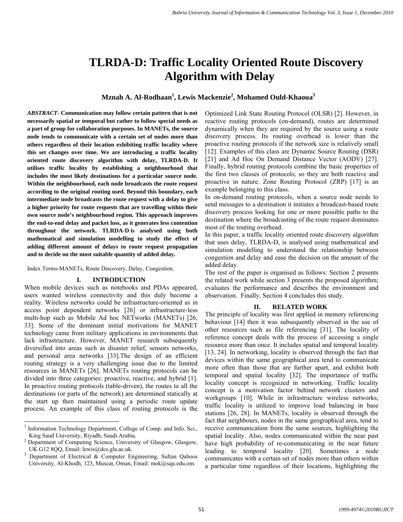# **TLRDA-D: Traffic Locality Oriented Route Discovery Algorithm with Delay**

**Mznah A. Al-Rodhaan<sup>1</sup> , Lewis Mackenzie 2 , Mohamed Ould-Khaoua3** 

*ABSTRACT***- Communication may follow certain pattern that is not necessarily spatial or temporal but rather to follow special needs as a part of group for collaboration purposes. In MANETs, the source node tends to communicate with a certain set of nodes more than others regardless of their location exhibiting traffic locality where this set changes over time. We are introducing a traffic locality oriented route discovery algorithm with delay, TLRDA-D. It utilises traffic locality by establishing a neighbourhood that includes the most likely destinations for a particular source node. Within the neighbourhood, each node broadcasts the route request according to the original routing used. Beyond this boundary, each intermediate node broadcasts the route request with a delay to give a higher priority for route requests that are travelling within their own source node's neighbourhood region. This approach improves the end-to-end delay and packet loss, as it generates less contention throughout the network. TLRDA-D is analysed using both mathematical and simulation modelling to study the effect of adding different amount of delays to route request propagation and to decide on the most suitable quantity of added delay.**

Index Terms-MANETs, Route Discovery, Delay, Congestion.

### **I. INTRODUCTION**

When mobile devices such as notebooks and PDAs appeared, users wanted wireless connectivity and this duly become a reality. Wireless networks could be infrastructure-oriented as in access point dependent networks [26] or infrastructure-less multi-hop such as Mobile Ad hoc NETworks (MANETs) [26, 33]. Some of the dominant initial motivations for MANET technology came from military applications in environments that lack infrastructure. However, MANET research subsequently diversified into areas such as disaster relief, sensors networks, and personal area networks [33].The design of an efficient routing strategy is a very challenging issue due to the limited resources in MANETs [26]. MANETs routing protocols can be divided into three categories: proactive, reactive, and hybrid [1]. In proactive routing protocols (table-driven), the routes to all the destinations (or parts of the network) are determined statically at the start up then maintained using a periodic route update process. An example of this class of routing protocols is the

Optimized Link State Routing Protocol (OLSR) [2]. However, in reactive routing protocols (on-demand), routes are determined dynamically when they are required by the source using a route discovery process. Its routing overhead is lower than the proactive routing protocols if the network size is relatively small [12]. Examples of this class are Dynamic Source Routing (DSR) [21] and Ad Hoc On Demand Distance Vector (AODV) [27]. Finally, hybrid routing protocols combine the basic properties of the first two classes of protocols; so they are both reactive and proactive in nature. Zone Routing Protocol (ZRP) [17] is an example belonging to this class.

In on-demand routing protocols, when a source node needs to send messages to a destination it initiates a broadcast-based route discovery process looking for one or more possible paths to the destination where the broadcasting of the route request dominates most of the routing overhead.

In this paper, a traffic locality oriented route discovery algorithm that uses delay, TLRDA-D, is analysed using mathematical and simulation modelling to understand the relationship between congestion and delay and ease the decision on the amount of the added delay.

The rest of the paper is organised as follows: Section 2 presents the related work while section 3 presents the proposed algorithm; evaluates the performance and describes the environment and observation. Finally, Section 4 concludes this study.

### **II. RELATED WORK**

The principle of locality was first applied in memory referencing behaviour [14] then it was subsequently observed in the use of other resources such as file referencing [31]. The locality of reference concept deals with the process of accessing a single resource more than once. It includes spatial and temporal locality [13, 24]. In networking, locality is observed through the fact that devices within the same geographical area tend to communicate more often than those that are further apart, and exhibit both temporal and spatial locality [32]. The importance of traffic locality concept is recognized in networking. Traffic locality concept is a motivation factor behind network clusters and workgroups [10]. While in infrastructure wireless networks, traffic locality is utilized to improve load balancing in base stations [26, 28]. In MANETs, locality is observed through the fact that neighbours, nodes in the same geographical area, tend to receive communication from the same sources, highlighting the spatial locality. Also, nodes communicated within the near past have high probability of re-communicating in the near future leading to temporal locality [20]. Sometimes a node communicates with a certain set of nodes more than others within a particular time regardless of their locations, highlighting the

<sup>|&</sup>lt;br>|<br>|  $\frac{1}{1}$  Information Technology Department, College of Comp. and Info. Sci., King Saud University, Riyadh, Saudi Arabia.

<sup>&</sup>lt;sup>2</sup> Department of Computing Science, University of Glasgow, Glasgow, UK G12 8QQ, Email: lewis@dcs.gla.ac.uk.

Department of Electrical & Computer Engineering, Sultan Qaboos University, Al-Khodh, 123, Muscat, Oman, Email: mok@squ.edu.om.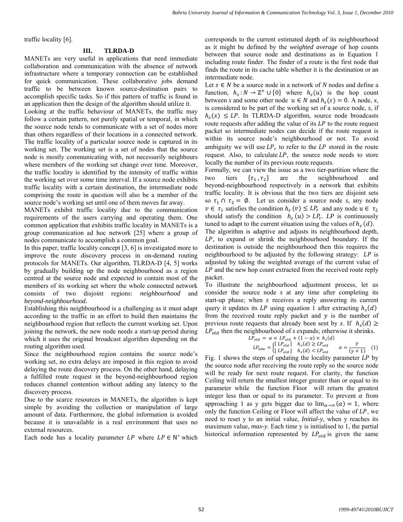traffic locality [6].

## **III. TLRDA-D**

MANETs are very useful in applications that need immediate collaboration and communication with the absence of network infrastructure where a temporary connection can be established for quick communication. These collaborative jobs demand traffic to be between known source-destination pairs to accomplish specific tasks. So if this pattern of traffic is found in an application then the design of the algorithm should utilize it.

Looking at the traffic behaviour of MANETs, the traffic may follow a certain pattern, not purely spatial or temporal, in which the source node tends to communicate with a set of nodes more than others regardless of their locations in a connected network. The traffic locality of a particular source node is captured in its working set. The working set is a set of nodes that the source node is mostly communicating with, not necessarily neighbours where members of the working set change over time. Moreover, the traffic locality is identified by the intensity of traffic within the working set over some time interval. If a source node exhibits traffic locality with a certain destination, the intermediate node comprising the route in question will also be a member of the source node's working set until one of them moves far away.

MANETs exhibit traffic locality due to the communication requirements of the users carrying and operating them. One common application that exhibits traffic locality in MANETs is a group communication ad hoc network [25] where a group of nodes communicate to accomplish a common goal.

In this paper, traffic locality concept [3, 6] is investigated more to improve the route discovery process in on-demand routing protocols for MANETs. Our algorithm, TLRDA-D [4, 5] works by gradually building up the node neighbourhood as a region centred at the source node and expected to contain most of the members of its working set where the whole connected network consists of two disjoint regions: *neighbourhood* and *beyond-neighbourhood.* 

Establishing this neighbourhood is a challenging as it must adapt according to the traffic in an effort to build then maintains the neighbourhood region that reflects the current working set. Upon joining the network, the new node needs a start-up period during which it uses the original broadcast algorithm depending on the routing algorithm used.

Since the neighbourhood region contains the source node's working set, no extra delays are imposed in this region to avoid delaying the route discovery process. On the other hand, delaying a fulfilled route request in the beyond-neighbourhood region reduces channel contention without adding any latency to the discovery process.

Due to the scarce resources in MANETs, the algorithm is kept simple by avoiding the collection or manipulation of large amount of data. Furthermore, the global information is avoided because it is unavailable in a real environment that uses no external resources.

Each node has a locality parameter  $LP$  where  $LP \in \mathbb{N}^*$  which

corresponds to the current estimated depth of its neighbourhood as it might be defined by the *weighted average* of hop counts between that source node and destinations as in Equation 1 including route finder. The finder of a route is the first node that finds the route in its cache table whether it is the destination or an intermediate node.

Let  $s \in N$  be a source node in a network of *N* nodes and define a function,  $h_s: N \to \mathbb{Z}^+ \cup \{0\}$  where  $h_s(u)$  is the hop count between *s* and some other node  $u \in N$  and  $h_s(s) = 0$ . A node, *x*, is considered to be part of the working set of a source node, *s*, if  $h_s(x) \leq LP$ . In TLRDA-D algorithm, source node broadcasts route requests after adding the value of its  $LP$  to the route request packet so intermediate nodes can decide if the route request is within its source node's neighbourhood or not. To avoid ambiguity we will use  $LP_r$  to refer to the  $LP$  stored in the route request. Also, to calculate LP, the source node needs to store locally the number of its previous route requests.

Formally, we can view the issue as a two tier-partition where the two tiers  $\{\tau_1, \tau_2\}$  are the neighbourhood and beyond-neighbourhood respectively in a network that exhibits traffic locality. It is obvious that the two tiers are disjoint sets so  $\tau_1 \cap \tau_2 = \emptyset$ . Let us consider a source node *s*, any node  $v \in \tau_1$  satisfies the condition  $h_s(v) \leq LP_r$  and any node  $u \in \tau_2$ should satisfy the condition  $h_s(u) > LP_r$ . *LP* is continuously tuned to adapt to the current situation using the values of  $h<sub>s</sub>(d)$ .

The algorithm is adaptive and adjusts its neighbourhood depth, LP, to expand or shrink the neighbourhood boundary. If the destination is outside the neighbourhood then this requires the neighbourhood to be adjusted by the following strategy:  $LP$  is adjusted by taking the weighted average of the current value of LP and the new hop count extracted from the received route reply packet.

To illustrate the neighbourhood adjustment process, let us consider the source node *s* at any time after completing its start-up phase; when s receives a reply answering its current query it updates its LP using equation 1 after extracting  $h_s(d)$ from the received route reply packet and  $y$  is the number of previous route requests that already been sent by s. If  $h_s(d) \geq$  $LP_{old}$  then the neighbourhood of *s* expands; otherwise it shrinks.

$$
LP_{old} = \alpha \times LP_{old} + (1 - \alpha) \times h_s(d)
$$
  
\n
$$
LP_{new} = \begin{cases} [LP_{old}] & h_s(d) \ge LP_{old} \\ [LP_{old}] & h_s(d) < LP_{old} \end{cases} \quad \alpha = \frac{y}{(y+1)} \quad (1)
$$

Fig. 1 shows the steps of updating the locality parameter  $LP$  by the source node after receiving the route reply so the source node will be ready for next route request. For clarity, the function Ceiling will return the smallest integer greater than or equal to its parameter while the function Floor will return the greatest integer less than or equal to its parameter. To prevent  $\alpha$  from approaching 1 as y gets bigger due to  $\lim_{\alpha \to \infty} (\alpha) = 1$ , where only the function Ceiling or Floor will affect the value of  $LP$ , we need to reset y to an initial value, *Initial-y*, when y reaches its maximum value, *max-y*. Each time y is initialised to 1, the partial historical information represented by  $LP_{old}$  is given the same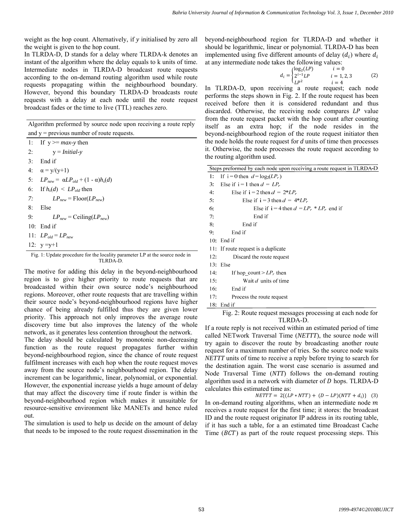weight as the hop count. Alternatively, if *y* initialised by zero all the weight is given to the hop count.

In TLRDA-D, D stands for a delay where TLRDA-k denotes an instant of the algorithm where the delay equals to k units of time. Intermediate nodes in TLRDA-D broadcast route requests according to the on-demand routing algorithm used while route requests propagating within the neighbourhood boundary. However, beyond this boundary TLRDA-D broadcasts route requests with a delay at each node until the route request broadcast fades or the time to live (TTL) reaches zero.

| Algorithm preformed by source node upon receiving a route reply |
|-----------------------------------------------------------------|
| and $y =$ previous number of route requests.                    |

1: If  $y \geq max-y$  then 2:  $y = Initial-y$ 3: End if 4:  $\alpha = y/(y+1)$ 5:  $LP_{new} = αLP_{old} + (1 - α)h_s(d)$ 6: If  $h_s(d) \le LP_{old}$  then 7:  $LP_{new} = \text{Floor}(LP_{new})$ 8: Else 9:  $LP_{new} = \text{Ceiling}(LP_{new})$ 10: End if 11:  $LP_{old} = LP_{new}$ 12:  $y = y + 1$ 

Fig. 1: Update procedure for the locality parameter LP at the source node in TLRDA-D.

The motive for adding this delay in the beyond-neighbourhood region is to give higher priority to route requests that are broadcasted within their own source node's neighbourhood regions. Moreover, other route requests that are travelling within their source node's beyond-neighbourhood regions have higher chance of being already fulfilled thus they are given lower priority. This approach not only improves the average route discovery time but also improves the latency of the whole network, as it generates less contention throughout the network.

The delay should be calculated by monotonic non-decreasing function as the route request propagates further within beyond-neighbourhood region, since the chance of route request fulfilment increases with each hop when the route request moves away from the source node's neighbourhood region. The delay increment can be logarithmic, linear, polynomial, or exponential. However, the exponential increase yields a huge amount of delay that may affect the discovery time if route finder is within the beyond-neighbourhood region which makes it unsuitable for resource-sensitive environment like MANETs and hence ruled out.

The simulation is used to help us decide on the amount of delay that needs to be imposed to the route request dissemination in the beyond-neighbourhood region for TLRDA-D and whether it should be logarithmic, linear or polynomial. TLRDA-D has been implemented using five different amounts of delay  $(d_i)$  where  $d_i$ at any intermediate node takes the following values:

$$
d_i = \begin{cases} \log_2(LP) & i = 0\\ 2^{i-1}LP & i = 1, 2, 3\\ LP^2 & i = 4 \end{cases}
$$
 (2)

In TLRDA-D, upon receiving a route request; each node performs the steps shown in Fig. 2. If the route request has been received before then it is considered redundant and thus discarded. Otherwise, the receiving node compares LP value from the route request packet with the hop count after counting itself as an extra hop; if the node resides in the beyond-neighbourhood region of the route request initiator then the node holds the route request for *d* units of time then processes it. Otherwise, the node processes the route request according to the routing algorithm used.

|   |     | Steps preformed by each node upon receiving a route request in TLRDA-D |
|---|-----|------------------------------------------------------------------------|
|   | 1:  | If $i = 0$ then $d = log_2(LP_r)$                                      |
|   | 3:  | Else if $i = 1$ then $d = LP_r$                                        |
|   | 4:  | Else if $i = 2$ then $d = 2 \cdot LP_r$                                |
|   | 5:  | Else if $i = 3$ then $d = 4*LP_r$                                      |
|   | 6:  | Else if $i = 4$ then $d = LP_r * LP_r$ end if                          |
|   | 7:  | End if                                                                 |
|   | 8:  | End if                                                                 |
|   | 9:  | End if                                                                 |
|   |     | 10: End if                                                             |
|   |     | 11: If route request is a duplicate                                    |
|   | 12: | Discard the route request                                              |
|   |     | $13:$ Else                                                             |
| ı | 14: | If hop count $> LP_r$ then                                             |
| e | 15: | Wait d units of time                                                   |
| þ | 16: | End if                                                                 |
| 1 | 17: | Process the route request                                              |
| r | 18: | End if                                                                 |

Fig. 2: Route request messages processing at each node for TLRDA-D.

If a route reply is not received within an estimated period of time called NETwork Traversal Time (*NETTT*), the source node will try again to discover the route by broadcasting another route request for a maximum number of tries. So the source node waits *NETTT* units of time to receive a reply before trying to search for the destination again. The worst case scenario is assumed and Node Traversal Time (*NTT*) follows the on-demand routing algorithm used in a network with diameter of  $D$  hops. TLRDA-D calculates this estimated time as:

 $NETTT = 2\{(LP * NTT) + (D - LP)(NTT + d_i)\}$  (3) In on-demand routing algorithms, when an intermediate node  $m$ receives a route request for the first time; it stores: the broadcast ID and the route request originator IP address in its routing table, if it has such a table, for a an estimated time Broadcast Cache Time  $(BCT)$  as part of the route request processing steps. This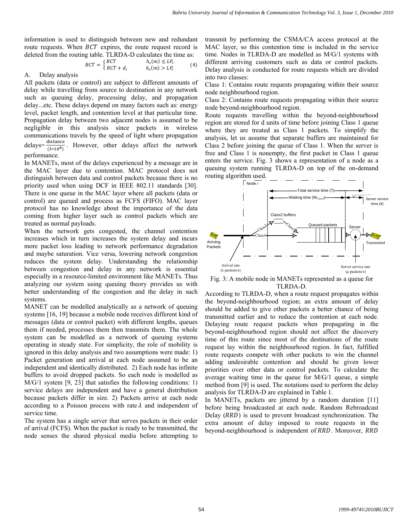information is used to distinguish between new and redundant route requests. When  $BCT$  expires, the route request record is deleted from the routing table. TLRDA-D calculates the time as:

$$
BCT = \begin{cases} BCT & h_s(m) \le LP_r \\ BCT + d_i & h_s(m) > LP_r \end{cases}
$$
 (4)

A. Delay analysis

All packets (data or control) are subject to different amounts of delay while travelling from source to destination in any network such as queuing delay, processing delay, and propagation delay...etc. These delays depend on many factors such as: energy level, packet length, and contention level at that particular time. Propagation delay between two adjacent nodes is assumed to be negligible in this analysis since packets in wireless communications travels by the speed of light where propagation delays= $\frac{\text{distance}}{(3*10^8)}$ . However, other delays affect the network performance.

In MANETs, most of the delays experienced by a message are in the MAC layer due to contention. MAC protocol does not distinguish between data and control packets because there is no priority used when using DCF in IEEE 802.11 standards [30]. There is one queue in the MAC layer where all packets (data or control) are queued and process as FCFS (FIFO). MAC layer protocol has no knowledge about the importance of the data coming from higher layer such as control packets which are treated as normal payloads.

When the network gets congested, the channel contention increases which in turn increases the system delay and incurs more packet loss leading to network performance degradation and maybe saturation. Vice versa, lowering network congestion reduces the system delay. Understanding the relationship between congestion and delay in any network is essential especially in a resource-limited environment like MANETs. Thus analyzing our system using queuing theory provides us with better understanding of the congestion and the delay in such systems.

MANET can be modelled analytically as a network of queuing systems [16, 19] because a mobile node receives different kind of messages (data or control packet) with different lengths, queues them if needed, processes them then transmits them. The whole system can be modelled as a network of queuing systems operating in steady state. For simplicity, the role of mobility is ignored in this delay analysis and two assumptions were made: 1) Packet generation and arrival at each node assumed to be an independent and identically distributed. 2) Each node has infinite buffers to avoid dropped packets. So each node is modelled as M/G/1 system [9, 23] that satisfies the following conditions: 1) service delays are independent and have a general distribution because packets differ in size. 2) Packets arrive at each node according to a Poisson process with rate  $\lambda$  and independent of service time.

The system has a single server that serves packets in their order of arrival (FCFS). When the packet is ready to be transmitted, the node senses the shared physical media before attempting to

transmit by performing the CSMA/CA access protocol at the MAC layer, so this contention time is included in the service time. Nodes in TLRDA-D are modelled as M/G/1 systems with different arriving customers such as data or control packets. Delay analysis is conducted for route requests which are divided into two classes:

Class 1: Contains route requests propagating within their source node neighbourhood region.

Class 2: Contains route requests propagating within their source node beyond-neighbourhood region.

Route requests travelling within the beyond-neighbourhood region are stored for d units of time before joining Class 1 queue where they are treated as Class 1 packets. To simplify the analysis, let us assume that separate buffers are maintained for Class 2 before joining the queue of Class 1. When the server is free and Class 1 is nonempty, the first packet in Class 1 queue enters the service. Fig. 3 shows a representation of a node as a queuing system running TLRDA-D on top of the on-demand routing algorithm used.



Fig. 3: A mobile node in MANETs represented as a queue for TLRDA-D.

According to TLRDA-D, when a route request propagates within the beyond-neighbourhood region; an extra amount of delay should be added to give other packets a better chance of being transmitted earlier and to reduce the contention at each node. Delaying route request packets when propagating in the beyond-neighbourhood region should not affect the discovery time of this route since most of the destinations of the route request lay within the neighbourhood region. In fact, fulfilled route requests compete with other packets to win the channel adding undesirable contention and should be given lower priorities over other data or control packets. To calculate the average waiting time in the queue for M/G/1 queue, a simple method from [9] is used. The notations used to perform the delay analysis for TLRDA-D are explained in Table 1.

In MANETs, packets are jittered by a random duration [11] before being broadcasted at each node. Random Rebroadcast Delay (*RRD*) is used to prevent broadcast synchronization. The extra amount of delay imposed to route requests in the beyond-neighbourhood is independent of RRD. Moreover, RRD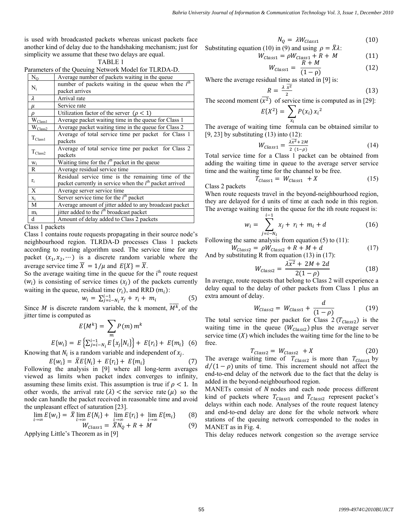is used with broadcasted packets whereas unicast packets face another kind of delay due to the handshaking mechanism; just for simplicity we assume that these two delays are equal.

| Parameters of the Queuing Network Model for TLRDA-D. |  |  |  |
|------------------------------------------------------|--|--|--|
|------------------------------------------------------|--|--|--|

| $N_Q$        | Average number of packets waiting in the queue            |
|--------------|-----------------------------------------------------------|
| $N_i$        | number of packets waiting in the queue when the $ith$     |
|              | packet arrives                                            |
| $\lambda$    | Arrival rate                                              |
| μ            | Service rate                                              |
| ρ            | Utilization factor of the server $(\rho < 1)$             |
| $W_{Class1}$ | Average packet waiting time in the queue for Class 1      |
| $W_{Class2}$ | Average packet waiting time in the queue for Class 2      |
|              | Average of total service time per packet for Class 1      |
| $T_{Class1}$ | packets                                                   |
| $T_{Class2}$ | Average of total service time per packet for Class 2      |
|              | packets                                                   |
| $W_i$        | Waiting time for the $i^{th}$ packet in the queue         |
| R            | Average residual service time                             |
|              | Residual service time is the remaining time of the        |
| $r_i$        | packet currently in service when the $ith$ packet arrived |
| X            | Average server service time                               |
| $X_i$        | Server service time for the $ith$ packet                  |
| M            | Average amount of jitter added to any broadcast packet    |
| $m_i$        | jitter added to the $ith$ broadcast packet                |
| d            | Amount of delay added to Class 2 packets                  |

Class 1 packets

Class 1 contains route requests propagating in their source node's neighbourhood region. TLRDA-D processes Class 1 packets according to routing algorithm used. The service time for any packet  $(x_1, x_2, \dots)$  is a discrete random variable where the average service time  $\overline{X} = 1/\mu$  and  $E\{X\} = \overline{X}$ .

So the average waiting time in the queue for the i<sup>th</sup> route request  $(w_i)$  is consisting of service times  $(x_i)$  of the packets currently waiting in the queue, residual time  $(r_i)$ , and RRD  $(m_i)$ :

$$
w_i = \sum_{j=i-N_i}^{i-1} x_j + r_i + m_i
$$
 (5)

Since *M* is discrete random variable, the k moment,  $\overline{M^k}$ , of the jitter time is computed as

$$
E\{M^{k}\} = \sum_{m} P(m) m^{k}
$$
  

$$
E\{w_{i}\} = E\left\{\sum_{j=i-N_{i}}^{i-1} E\{x_{j}|N_{i}\}\right\} + E\{r_{i}\} + E\{m_{i}\}
$$
 (6)

Knowing that  $N_i$  is a random variable and independent of  $x_i$ .

$$
E\{w_i\} = \bar{X}E\{N_i\} + E\{r_i\} + E\{m_i\}
$$
 (7)

Following the analysis in [9] where all long-term averages viewed as limits when packet index converges to infinity, assuming these limits exist. This assumption is true if  $\rho < 1$ . In other words, the arrival rate  $(\lambda)$  < the service rate  $(\mu)$  so the node can handle the packet received in reasonable time and avoid the unpleasant effect of saturation [23].

$$
\lim_{i \to \infty} E\{w_i\} = \bar{X} \lim_{i \to \infty} E\{N_i\} + \lim_{i \to \infty} E\{r_i\} + \lim_{i \to \infty} E\{m_i\}
$$
 (8)

$$
W_{Class1} = \overline{\overline{X}} N_Q + R + \overline{M}
$$
 (9)

Applying Little's Theorem as in [9]

$$
N_Q = \lambda W_{class1} \tag{10}
$$

Substituting equation (10) in (9) and using 
$$
\rho = \overline{X}\lambda
$$
:

$$
W_{Class1} = \rho W_{Class1} + R + M \tag{11}
$$

$$
W_{Class1} = \frac{R+M}{(1-\rho)}\tag{12}
$$

Where the average residual time as stated in [9] is:

$$
R = \frac{\lambda \overline{x^2}}{2} \tag{13}
$$

The second moment  $(\overline{x^2})$  of service time is computed as in [29]:

$$
E\{X^2\} = \sum_{x_i} P(x_i) x_i^2
$$

The average of waiting time formula can be obtained similar to [9, 23] by substituting (13) into (12):

$$
W_{Class1} = \frac{\lambda \overline{x^2} + 2M}{2 (1-\rho)}
$$
 (14)

Total service time for a Class 1 packet can be obtained from adding the waiting time in queue to the average server service time and the waiting time for the channel to be free.

$$
T_{Class1} = W_{Class1} + X \tag{15}
$$

Class 2 packets

When route requests travel in the beyond-neighbourhood region, they are delayed for d units of time at each node in this region. The average waiting time in the queue for the ith route request is:

$$
w_i = \sum_{j=i-N_i}^{i-1} x_j + r_i + m_i + d \tag{16}
$$

Following the same analysis from equation  $(5)$  to  $(11)$ :

 $W_{Class2} = \rho W_{Class2} + R + M + d$  (17) And by substituting R from equation (13) in (17):

$$
W_{Class2} = \frac{\lambda \overline{x^2} + 2M + 2d}{2(1 - \rho)}
$$
 (18)

In average, route requests that belong to Class 2 will experience a delay equal to the delay of other packets from Class 1 plus an extra amount of delay.

$$
W_{Class2} = W_{Class1} + \frac{d}{(1-\rho)}
$$
 (19)

The total service time per packet for Class  $2 (T_{\text{Class2}})$  is the waiting time in the queue  $(W_{\text{Class2}})$  plus the average server service time  $(X)$  which includes the waiting time for the line to be free.

$$
T_{Class2} = W_{Class2} + X \tag{20}
$$

The average waiting time of  $T_{\text{Class 2}}$  is more than  $T_{\text{Class 1}}$  by  $d/(1 - \rho)$  units of time. This increment should not affect the end-to-end delay of the network due to the fact that the delay is added in the beyond-neighbourhood region.

MANETs consist of N nodes and each node process different kind of packets where  $T_{\text{Class1}}$  and  $T_{\text{Class2}}$  represent packet's delays within each node. Analyses of the route request latency and end-to-end delay are done for the whole network where stations of the queuing network corresponded to the nodes in MANET as in Fig. 4.

This delay reduces network congestion so the average service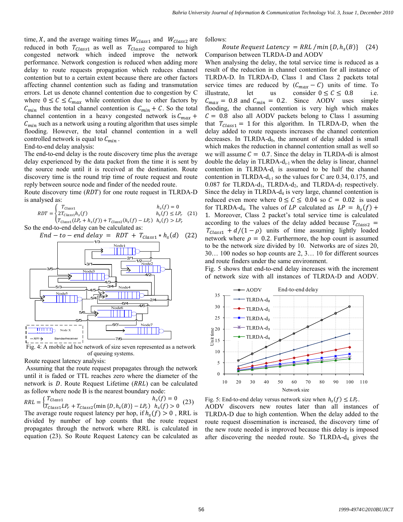time,  $X$ , and the average waiting times  $W_{\text{Class 1}}$  and  $W_{\text{Class 2}}$  are reduced in both  $T_{\text{Class 1}}$  as well as  $T_{\text{Class 2}}$  compared to high congested network which indeed improve the network performance. Network congestion is reduced when adding more delay to route requests propagation which reduces channel contention but to a certain extent because there are other factors affecting channel contention such as fading and transmutation errors. Let us denote channel contention due to congestion by C where  $0 \leq C \leq C_{max}$  while contention due to other factors by  $C_{min}$  thus the total channel contention is  $C_{min} + C$ . So the total channel contention in a heavy congested network is  $C_{max}$  +  $C_{min}$  such as a network using a routing algorithm that uses simple flooding. However, the total channel contention in a well controlled network is equal to  $C_{min}$ .

End-to-end delay analysis:

The end-to-end delay is the route discovery time plus the average delay experienced by the data packet from the time it is sent by the source node until it is received at the destination. Route discovery time is the round trip time of route request and route reply between source node and finder of the needed route.

Route discovery time  $(RDT)$  for one route request in TLRDA-D is analysed as:

$$
RDT = \begin{cases} T_{Class1} & h_s(f) = 0\\ 2T_{Class1}h_s(f) & h_s(f) \le LP_r\\ T_{Class1}(LP_r + h_s(f)) + T_{Class2}(h_s(f) - LP_r) & h_s(f) > LP_r \end{cases}
$$
 (21)

So the end-to-end delay can be calculated as:

$$
End - to - end delay = RDT + T_{Class1} * h_s(d) \quad (22)
$$



Fig. 4: A mobile ad hoc network of size seven represented as a network of queuing systems.

Route request latency analysis:

Assuming that the route request propagates through the network until it is faded or TTL reaches zero where the diameter of the network is  $D$ . Route Request Lifetime ( $RRL$ ) can be calculated as follow where node B is the nearest boundary node:

 $RRL = \begin{cases} T_{Class1} & h_s(f) = 0 \\ T_{Class1} L P_r + T_{Class2} (\min\{D, h_s(B)\} - L P_r) & h_s(f) > 0 \end{cases}$  (23) The average route request latency per hop, if  $h_s(f) > 0$ , RRL is divided by number of hop counts that the route request propagates through the network where RRL is calculated in equation (23). So Route Request Latency can be calculated as follows:

# Route Request Latency = RRL /min  $\{D, h_s(B)\}$  (24) Comparison between TLRDA-D and AODV

When analysing the delay, the total service time is reduced as a result of the reduction in channel contention for all instance of TLRDA-D. In TLRDA-D, Class 1 and Class 2 packets total service times are reduced by  $(C_{max} - C)$  units of time. To illustrate, let us consider  $0 \le C \le 0.8$  i.e. let us consider  $0 \le C \le 0.8$  i.e.  $C_{max} = 0.8$  and  $C_{min} = 0.2$ . Since AODV uses simple flooding, the channel contention is very high which makes  $C = 0.8$  also all AODV packets belong to Class 1 assuming that  $T_{Class1} = 1$  for this algorithm. In TLRDA-D, when the delay added to route requests increases the channel contention decreases. In TLRDA- $d_0$ , the amount of delay added is small which makes the reduction in channel contention small as well so we will assume  $C = 0.7$ . Since the delay in TLRDA-di is almost double the delay in TLRDA- $d_{i-1}$  when the delay is linear, channel contention in TLRDA- $d_i$  is assumed to be half the channel contention in TLRDA-d<sub>i-1</sub> so the values for C are 0.34, 0.175, and  $0.087$  for TLRDA-d<sub>1</sub>, TLRDA-d<sub>2</sub>, and TLRDA-d<sub>3</sub> respectively. Since the delay in TLRDA- $d_4$  is very large, channel contention is reduced even more where  $0 \le C \le 0.04$  so  $C = 0.02$  is used for TLRDA-d<sub>4</sub>. The values of LP calculated as  $LP = h_s(f) +$ 1. Moreover, Class 2 packet's total service time is calculated according to the values of the delay added because  $T_{\text{class2}} =$  $T_{\text{Class1}} + d/(1 - \rho)$  units of time assuming lightly loaded network where  $\rho = 0.2$ . Furthermore, the hop count is assumed to be the network size divided by 10. Networks are of sizes 20, 30… 100 nodes so hop counts are 2, 3… 10 for different sources and route finders under the same environment.

Fig. 5 shows that end-to-end delay increases with the increment of network size with all instances of TLRDA-D and AODV.



Fig. 5: End-to-end delay versus network size when  $h_s(f) \leq LP_r$ . AODV discovers new routes later than all instances of TLRDA-D due to high contention. When the delay added to the route request dissemination is increased, the discovery time of the new route needed is improved because this delay is imposed after discovering the needed route. So TLRDA- $d_4$  gives the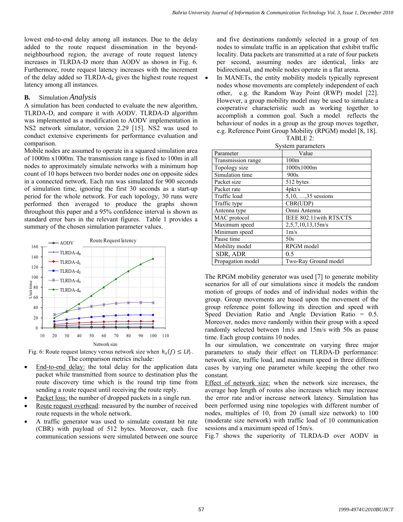lowest end-to-end delay among all instances. Due to the delay added to the route request dissemination in the beyondneighbourhood region, the average of route request latency increases in TLRDA-D more than AODV as shown in Fig. 6. Furthermore, route request latency increases with the increment of the delay added so  $TLRDA-d<sub>4</sub>$  gives the highest route request latency among all instances.

# **B.** Simulation *Analysis*

A simulation has been conducted to evaluate the new algorithm, TLRDA-D, and compare it with AODV. TLRDA-D algorithm was implemented as a modification to AODV implementation in NS2 network simulator, version 2.29 [15]. NS2 was used to conduct extensive experiments for performance evaluation and comparison.

Mobile nodes are assumed to operate in a squared simulation area of 1000m x1000m. The transmission range is fixed to 100m in all nodes to approximately simulate networks with a minimum hop count of 10 hops between two border nodes one on opposite sides in a connected network. Each run was simulated for 900 seconds of simulation time, ignoring the first 30 seconds as a start-up period for the whole network. For each topology, 30 runs were performed then averaged to produce the graphs shown throughout this paper and a 95% confidence interval is shown as standard error bars in the relevant figures. Table 1 provides a summary of the chosen simulation parameter values.



Fig. 6: Route request latency versus network size when  $h_s(f) \leq LP_r$ . The comparison metrics include:

- End-to-end delay: the total delay for the application data packet while transmitted from source to destination plus the route discovery time which is the round trip time from sending a route request until receiving the route reply.
- Packet loss: the number of dropped packets in a single run.
- Route request overhead: measured by the number of received route requests in the whole network.
- A traffic generator was used to simulate constant bit rate (CBR) with payload of 512 bytes. Moreover, each five communication sessions were simulated between one source

and five destinations randomly selected in a group of ten nodes to simulate traffic in an application that exhibit traffic locality. Data packets are transmitted at a rate of four packets per second, assuming nodes are identical, links are bidirectional, and mobile nodes operate in a flat arena.

In MANETs, the entity mobility models typically represent nodes whose movements are completely independent of each other, e.g. the Random Way Point (RWP) model [22]. However, a group mobility model may be used to simulate a cooperative characteristic such as working together to accomplish a common goal. Such a model reflects the behaviour of nodes in a group as the group moves together, e.g. Reference Point Group Mobility (RPGM) model [8, 18]. TABLE 2:

|                    | Oysigni parameters          |
|--------------------|-----------------------------|
| Parameter          | Value                       |
| Transmission range | 100 <sub>m</sub>            |
| Topology size      | 1000x1000m                  |
| Simulation time    | 900s                        |
| Packet size        | 512 bytes                   |
| Packet rate        | $4$ p $kt/s$                |
| Traffic load       | $5,10, \ldots, 35$ sessions |
| Traffic type       | CBR(UDP)                    |
| Antenna type       | Omni Antenna                |
| MAC protocol       | IEEE 802.11 with RTS/CTS    |
| Maximum speed      | 2,5,7,10,13,15m/s           |
| Minimum speed      | $1m$ /s                     |
| Pause time         | 50s                         |
| Mobility model     | RPGM model                  |
| <b>SDR, ADR</b>    | 0.5                         |
| Propagation model  | Two-Ray Ground model        |
|                    |                             |

System parameters

The RPGM mobility generator was used [7] to generate mobility scenarios for all of our simulations since it models the random motion of groups of nodes and of individual nodes within the group. Group movements are based upon the movement of the group reference point following its direction and speed with Speed Deviation Ratio and Angle Deviation Ratio = 0.5. Moreover, nodes move randomly within their group with a speed randomly selected between 1m/s and 15m/s with 50s as pause time. Each group contains 10 nodes.

In our simulation, we concentrate on varying three major parameters to study their effect on TLRDA-D performance: network size, traffic load, and maximum speed in three different cases by varying one parameter while keeping the other two constant.

Effect of network size: when the network size increases, the average hop length of routes also increases which may increase the error rate and/or increase network latency. Simulation has been performed using nine topologies with different number of nodes, multiples of 10, from 20 (small size network) to 100 (moderate size network) with traffic load of 10 communication sessions and a maximum speed of 15m/s.

Fig.7 shows the superiority of TLRDA-D over AODV in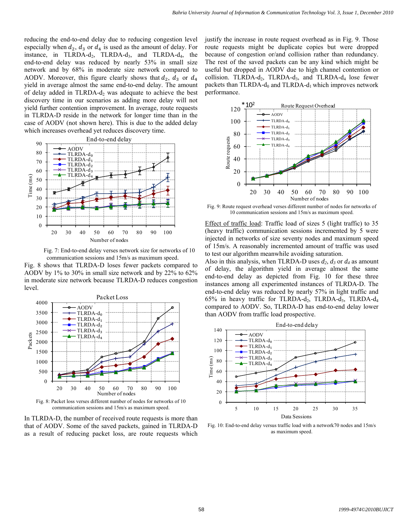reducing the end-to-end delay due to reducing congestion level especially when  $d_2$ ,  $d_3$  or  $d_4$  is used as the amount of delay. For instance, in TLRDA-d<sub>2</sub>, TLRDA-d<sub>3</sub>, and TLRDA-d<sub>4</sub>, the end-to-end delay was reduced by nearly 53% in small size network and by 68% in moderate size network compared to AODV. Moreover, this figure clearly shows that  $d_2$ ,  $d_3$  or  $d_4$ yield in average almost the same end-to-end delay. The amount of delay added in TLRDA- $d_2$  was adequate to achieve the best discovery time in our scenarios as adding more delay will not yield further contention improvement. In average, route requests in TLRDA-D reside in the network for longer time than in the case of AODV (not shown here). This is due to the added delay which increases overhead yet reduces discovery time.



Fig. 7: End-to-end delay verses network size for networks of 10 communication sessions and 15m/s as maximum speed.

Fig. 8 shows that TLRDA-D loses fewer packets compared to AODV by 1% to 30% in small size network and by 22% to 62% in moderate size network because TLRDA-D reduces congestion level.



Fig. 8: Packet loss verses different number of nodes for networks of 10 communication sessions and 15m/s as maximum speed.

In TLRDA-D, the number of received route requests is more than that of AODV. Some of the saved packets, gained in TLRDA-D as a result of reducing packet loss, are route requests which

justify the increase in route request overhead as in Fig. 9. Those route requests might be duplicate copies but were dropped because of congestion or/and collision rather than redundancy. The rest of the saved packets can be any kind which might be useful but dropped in AODV due to high channel contention or collision. TLRDA-d<sub>2</sub>, TLRDA-d<sub>3</sub>, and TLRDA-d<sub>4</sub> lose fewer packets than TLRDA- $d_0$  and TLRDA- $d_1$  which improves network performance.



Fig. 9: Route request overhead verses different number of nodes for networks of 10 communication sessions and 15m/s as maximum speed.

Effect of traffic load: Traffic load of sizes 5 (light traffic) to 35 (heavy traffic) communication sessions incremented by 5 were injected in networks of size seventy nodes and maximum speed of 15m/s. A reasonably incremented amount of traffic was used to test our algorithm meanwhile avoiding saturation.

Also in this analysis, when TLRDA-D uses  $d_2$ ,  $d_3$  or  $d_4$  as amount of delay, the algorithm yield in average almost the same end-to-end delay as depicted from Fig. 10 for these three instances among all experimented instances of TLRDA-D. The end-to-end delay was reduced by nearly 57% in light traffic and 65% in heavy traffic for TLRDA-d<sub>2</sub>, TLRDA-d<sub>3</sub>, TLRDA-d<sub>4</sub> compared to AODV. So, TLRDA-D has end-to-end delay lower than AODV from traffic load prospective.



Fig. 10: End-to-end delay versus traffic load with a network70 nodes and 15m/s as maximum speed.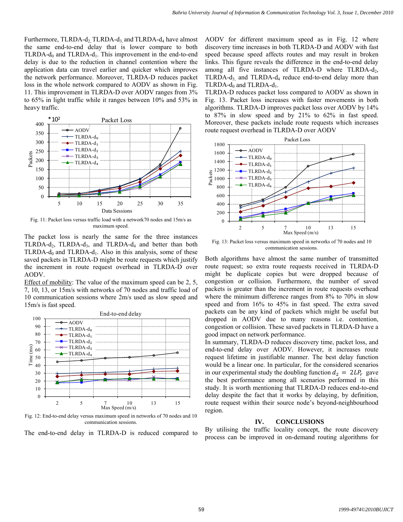Furthermore, TLRDA- $d_2$  TLRDA- $d_3$  and TLRDA- $d_4$  have almost the same end-to-end delay that is lower compare to both TLRDA- $d_0$  and TLRDA- $d_1$ . This improvement in the end-to-end delay is due to the reduction in channel contention where the application data can travel earlier and quicker which improves the network performance. Moreover, TLRDA-D reduces packet loss in the whole network compared to AODV as shown in Fig. 11. This improvement in TLRDA-D over AODV ranges from 3% to 65% in light traffic while it ranges between 10% and 53% in heavy traffic.



Fig. 11: Packet loss versus traffic load with a network70 nodes and 15m/s as maximum speed.

The packet loss is nearly the same for the three instances TLRDA-d<sub>2</sub>, TLRDA-d<sub>3</sub>, and TLRDA-d<sub>4</sub> and better than both TLRDA-d<sub>0</sub> and TLRDA-d<sub>1</sub>. Also in this analysis, some of these saved packets in TLRDA-D might be route requests which justify the increment in route request overhead in TLRDA-D over AODV.

Effect of mobility: The value of the maximum speed can be 2, 5, 7, 10, 13, or 15m/s with networks of 70 nodes and traffic load of 10 communication sessions where 2m/s used as slow speed and 15m/s is fast speed.



Fig. 12: End-to-end delay versus maximum speed in networks of 70 nodes and 10 communication sessions.

The end-to-end delay in TLRDA-D is reduced compared to

AODV for different maximum speed as in Fig. 12 where discovery time increases in both TLRDA-D and AODV with fast speed because speed affects routes and may result in broken links. This figure reveals the difference in the end-to-end delay among all five instances of TLRDA-D where TLRDA- $d_2$ , TLRDA-d<sub>3</sub> and TLRDA-d<sub>4</sub> reduce end-to-end delay more than TLRDA- $d_0$  and TLRDA- $d_1$ .

TLRDA-D reduces packet loss compared to AODV as shown in Fig. 13. Packet loss increases with faster movements in both algorithms. TLRDA-D improves packet loss over AODV by 14% to 87% in slow speed and by 21% to 62% in fast speed. Moreover, these packets include route requests which increases route request overhead in TLRDA-D over AODV



Fig. 13: Packet loss versus maximum speed in networks of 70 nodes and 10 communication sessions.

Both algorithms have almost the same number of transmitted route request; so extra route requests received in TLRDA-D might be duplicate copies but were dropped because of congestion or collision. Furthermore, the number of saved packets is greater than the increment in route requests overhead where the minimum difference ranges from 8% to 70% in slow speed and from 16% to 45% in fast speed. The extra saved packets can be any kind of packets which might be useful but dropped in AODV due to many reasons i.e. contention, congestion or collision. These saved packets in TLRDA-D have a good impact on network performance.

In summary, TLRDA-D reduces discovery time, packet loss, and end-to-end delay over AODV. However, it increases route request lifetime in justifiable manner. The best delay function would be a linear one. In particular, for the considered scenarios in our experimental study the doubling function  $d_2 = 2LP_r$  gave the best performance among all scenarios performed in this study. It is worth mentioning that TLRDA-D reduces end-to-end delay despite the fact that it works by delaying, by definition, route request within their source node's beyond-neighbourhood region.

#### **IV. CONCLUSIONS**

By utilising the traffic locality concept, the route discovery process can be improved in on-demand routing algorithms for